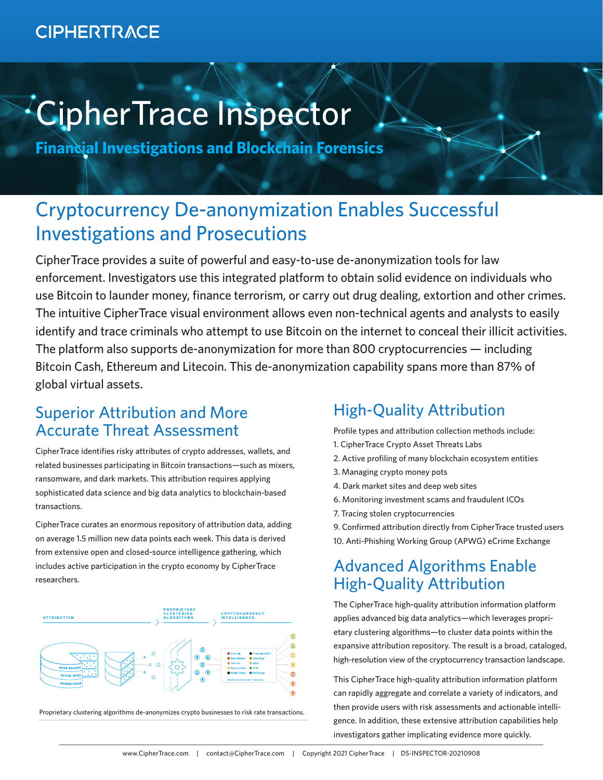# **CIPHERTRACE**

# CipherTrace Inspector

**Financial Investigations and Blockchain Forensics**

# Cryptocurrency De-anonymization Enables Successful Investigations and Prosecutions

CipherTrace provides a suite of powerful and easy-to-use de-anonymization tools for law enforcement. Investigators use this integrated platform to obtain solid evidence on individuals who use Bitcoin to launder money, finance terrorism, or carry out drug dealing, extortion and other crimes. The intuitive CipherTrace visual environment allows even non-technical agents and analysts to easily identify and trace criminals who attempt to use Bitcoin on the internet to conceal their illicit activities. The platform also supports de-anonymization for more than 800 cryptocurrencies — including Bitcoin Cash, Ethereum and Litecoin. This de-anonymization capability spans more than 87% of global virtual assets.

# Superior Attribution and More Accurate Threat Assessment

CipherTrace identifies risky attributes of crypto addresses, wallets, and related businesses participating in Bitcoin transactions—such as mixers, ransomware, and dark markets. This attribution requires applying sophisticated data science and big data analytics to blockchain-based transactions.

CipherTrace curates an enormous repository of attribution data, adding on average 1.5 million new data points each week. This data is derived from extensive open and closed-source intelligence gathering, which includes active participation in the crypto economy by CipherTrace researchers.



Proprietary clustering algorithms de-anonymizes crypto businesses to risk rate transactions.

#### High-Quality Attribution

Profile types and attribution collection methods include:

- 1. CipherTrace Crypto Asset Threats Labs
- 2. Active profiling of many blockchain ecosystem entities
- 3. Managing crypto money pots
- 4. Dark market sites and deep web sites
- 6. Monitoring investment scams and fraudulent ICOs
- 7. Tracing stolen cryptocurrencies
- 9. Confirmed attribution directly from CipherTrace trusted users
- 10. Anti-Phishing Working Group (APWG) eCrime Exchange

#### Advanced Algorithms Enable High-Quality Attribution

The CipherTrace high-quality attribution information platform applies advanced big data analytics—which leverages proprietary clustering algorithms—to cluster data points within the expansive attribution repository. The result is a broad, cataloged, high-resolution view of the cryptocurrency transaction landscape.

This CipherTrace high-quality attribution information platform can rapidly aggregate and correlate a variety of indicators, and then provide users with risk assessments and actionable intelligence. In addition, these extensive attribution capabilities help investigators gather implicating evidence more quickly.